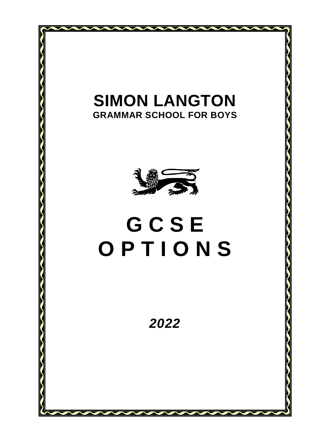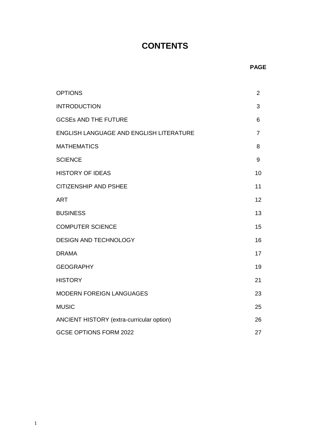# **CONTENTS**

| <b>OPTIONS</b>                            | $\overline{2}$ |
|-------------------------------------------|----------------|
| <b>INTRODUCTION</b>                       | 3              |
| <b>GCSEs AND THE FUTURE</b>               | 6              |
| ENGLISH LANGUAGE AND ENGLISH LITERATURE   | $\overline{7}$ |
| <b>MATHEMATICS</b>                        | 8              |
| <b>SCIENCE</b>                            | 9              |
| <b>HISTORY OF IDEAS</b>                   | 10             |
| <b>CITIZENSHIP AND PSHEE</b>              | 11             |
| <b>ART</b>                                | 12             |
| <b>BUSINESS</b>                           | 13             |
| <b>COMPUTER SCIENCE</b>                   | 15             |
| <b>DESIGN AND TECHNOLOGY</b>              | 16             |
| <b>DRAMA</b>                              | 17             |
| <b>GEOGRAPHY</b>                          | 19             |
| <b>HISTORY</b>                            | 21             |
| <b>MODERN FOREIGN LANGUAGES</b>           | 23             |
| <b>MUSIC</b>                              | 25             |
| ANCIENT HISTORY (extra-curricular option) | 26             |
| <b>GCSE OPTIONS FORM 2022</b>             | 27             |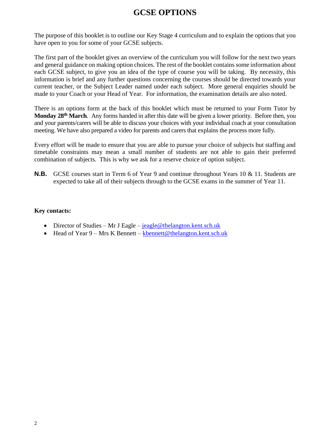# **GCSE OPTIONS**

The purpose of this booklet is to outline our Key Stage 4 curriculum and to explain the options that you have open to you for some of your GCSE subjects.

The first part of the booklet gives an overview of the curriculum you will follow for the next two years and general guidance on making option choices. The rest of the booklet contains some information about each GCSE subject, to give you an idea of the type of course you will be taking. By necessity, this information is brief and any further questions concerning the courses should be directed towards your current teacher, or the Subject Leader named under each subject. More general enquiries should be made to your Coach or your Head of Year. For information, the examination details are also noted.

There is an options form at the back of this booklet which must be returned to your Form Tutor by **Monday 28th March***.* Any forms handed in after this date will be given a lower priority. Before then, you and your parents/carers will be able to discuss your choices with your individual coach at your consultation meeting. We have also prepared a video for parents and carers that explains the process more fully.

Every effort will be made to ensure that you are able to pursue your choice of subjects but staffing and timetable constraints may mean a small number of students are not able to gain their preferred combination of subjects. This is why we ask for a reserve choice of option subject.

**N.B.** GCSE courses start in Term 6 of Year 9 and continue throughout Years 10 & 11. Students are expected to take all of their subjects through to the GCSE exams in the summer of Year 11.

#### **Key contacts:**

- Director of Studies Mr J Eagle [jeagle@thelangton.kent.sch.uk](mailto:jeagle@thelangton.kent.sch.uk)
- $\bullet$  Head of Year 9 Mrs K Bennett [kbennett@thelangton.kent.sch.uk](mailto:kbennett@thelangton.kent.sch.uk)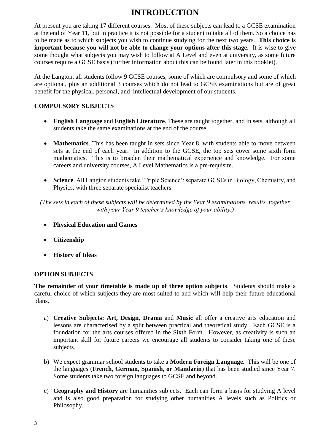# **INTRODUCTION**

At present you are taking 17 different courses. Most of these subjects can lead to a GCSE examination at the end of Year 11, but in practice it is not possible for a student to take all of them. So a choice has to be made as to which subjects you wish to continue studying for the next two years. **This choice is important because you will not be able to change your options after this stage.** It is wise to give some thought what subjects you may wish to follow at A Level and even at university, as some future courses require a GCSE basis (further information about this can be found later in this booklet).

At the Langton, all students follow 9 GCSE courses, some of which are compulsory and some of which are optional, plus an additional 3 courses which do not lead to GCSE examinations but are of great benefit for the physical, personal, and intellectual development of our students.

## **COMPULSORY SUBJECTS**

- **English Language** and **English Literature**. These are taught together, and in sets, although all students take the same examinations at the end of the course.
- **Mathematics**. This has been taught in sets since Year 8, with students able to move between sets at the end of each year. In addition to the GCSE, the top sets cover some sixth form mathematics. This is to broaden their mathematical experience and knowledge. For some careers and university courses, A Level Mathematics is a pre-requisite.
- **Science**. All Langton students take 'Triple Science': separate GCSEs in Biology, Chemistry, and Physics, with three separate specialist teachers.

*(The sets in each of these subjects will be determined by the Year 9 examinations results together with your Year 9 teacher's knowledge of your ability.)*

- **Physical Education and Games**
- **Citizenship**
- **History of Ideas**

## **OPTION SUBJECTS**

**The remainder of your timetable is made up of three option subjects**. Students should make a careful choice of which subjects they are most suited to and which will help their future educational plans.

- a) **Creative Subjects: Art, Design, Drama** and **Music** all offer a creative arts education and lessons are characterised by a split between practical and theoretical study. Each GCSE is a foundation for the arts courses offered in the Sixth Form. However, as creativity is such an important skill for future careers we encourage all students to consider taking one of these subjects.
- b) We expect grammar school students to take a **Modern Foreign Language.** This will be one of the languages (**French, German, Spanish, or Mandarin**) that has been studied since Year 7. Some students take two foreign languages to GCSE and beyond.
- c) **Geography and History** are humanities subjects. Each can form a basis for studying A level and is also good preparation for studying other humanities A levels such as Politics or Philosophy.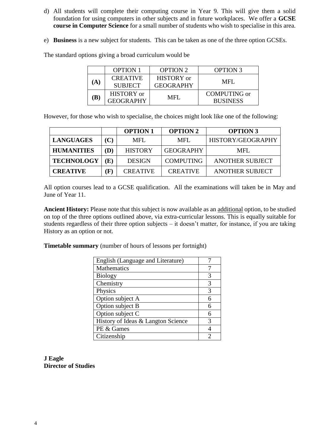- d) All students will complete their computing course in Year 9. This will give them a solid foundation for using computers in other subjects and in future workplaces. We offer a **GCSE course in Computer Science** for a small number of students who wish to specialise in this area.
- e) **Business** is a new subject for students. This can be taken as one of the three option GCSEs.

The standard options giving a broad curriculum would be

|     | <b>OPTION 1</b>                   | <b>OPTION 2</b>                       | <b>OPTION 3</b>                        |
|-----|-----------------------------------|---------------------------------------|----------------------------------------|
| (A) | <b>CREATIVE</b><br><b>SUBJECT</b> | <b>HISTORY</b> or<br><b>GEOGRAPHY</b> | MFL                                    |
| (B) | HISTORY or<br><b>GEOGRAPHY</b>    | MFL                                   | <b>COMPUTING</b> or<br><b>BUSINESS</b> |

However, for those who wish to specialise, the choices might look like one of the following:

|                   |          | <b>OPTION 1</b> | <b>OPTION 2</b>  | <b>OPTION 3</b>        |
|-------------------|----------|-----------------|------------------|------------------------|
| <b>LANGUAGES</b>  | (C)      | MFL             | MFL              | HISTORY/GEOGRAPHY      |
| <b>HUMANITIES</b> | (D)      | <b>HISTORY</b>  | <b>GEOGRAPHY</b> | MFL.                   |
| <b>TECHNOLOGY</b> | E)       | <b>DESIGN</b>   | <b>COMPUTING</b> | <b>ANOTHER SUBJECT</b> |
| <b>CREATIVE</b>   | $\bf F)$ | <b>CREATIVE</b> | <b>CREATIVE</b>  | <b>ANOTHER SUBJECT</b> |

All option courses lead to a GCSE qualification. All the examinations will taken be in May and June of Year 11.

**Ancient History:** Please note that this subject is now available as an additional option, to be studied on top of the three options outlined above, via extra-curricular lessons. This is equally suitable for students regardless of their three option subjects – it doesn't matter, for instance, if you are taking History as an option or not.

**Timetable summary** (number of hours of lessons per fortnight)

| English (Language and Literature)  |   |
|------------------------------------|---|
| Mathematics                        |   |
| <b>Biology</b>                     | 3 |
| Chemistry                          | 3 |
| Physics                            | 3 |
| Option subject A                   | 6 |
| Option subject B                   | 6 |
| Option subject C                   | 6 |
| History of Ideas & Langton Science | 3 |
| PE & Games                         |   |
| Citizenship                        |   |

**J Eagle Director of Studies**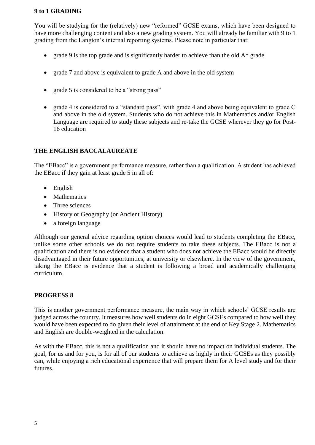#### **9 to 1 GRADING**

You will be studying for the (relatively) new "reformed" GCSE exams, which have been designed to have more challenging content and also a new grading system. You will already be familiar with 9 to 1 grading from the Langton's internal reporting systems. Please note in particular that:

- grade 9 is the top grade and is significantly harder to achieve than the old  $A^*$  grade
- grade 7 and above is equivalent to grade A and above in the old system
- grade 5 is considered to be a "strong pass"
- grade 4 is considered to a "standard pass", with grade 4 and above being equivalent to grade C and above in the old system. Students who do not achieve this in Mathematics and/or English Language are required to study these subjects and re-take the GCSE wherever they go for Post-16 education

#### **THE ENGLISH BACCALAUREATE**

The "EBacc" is a government performance measure, rather than a qualification. A student has achieved the EBacc if they gain at least grade 5 in all of:

- English
- Mathematics
- Three sciences
- History or Geography (or Ancient History)
- a foreign language

Although our general advice regarding option choices would lead to students completing the EBacc, unlike some other schools we do not require students to take these subjects. The EBacc is not a qualification and there is no evidence that a student who does not achieve the EBacc would be directly disadvantaged in their future opportunities, at university or elsewhere. In the view of the government, taking the EBacc is evidence that a student is following a broad and academically challenging curriculum.

#### **PROGRESS 8**

This is another government performance measure, the main way in which schools' GCSE results are judged across the country. It measures how well students do in eight GCSEs compared to how well they would have been expected to do given their level of attainment at the end of Key Stage 2. Mathematics and English are double-weighted in the calculation.

As with the EBacc, this is not a qualification and it should have no impact on individual students. The goal, for us and for you, is for all of our students to achieve as highly in their GCSEs as they possibly can, while enjoying a rich educational experience that will prepare them for A level study and for their futures.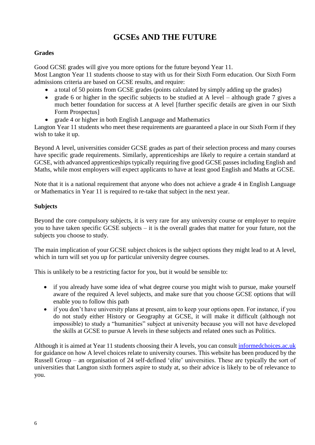# **GCSEs AND THE FUTURE**

# **Grades**

Good GCSE grades will give you more options for the future beyond Year 11.

Most Langton Year 11 students choose to stay with us for their Sixth Form education. Our Sixth Form admissions criteria are based on GCSE results, and require:

- a total of 50 points from GCSE grades (points calculated by simply adding up the grades)
- grade 6 or higher in the specific subjects to be studied at A level although grade 7 gives a much better foundation for success at A level [further specific details are given in our Sixth Form Prospectus]
- grade 4 or higher in both English Language and Mathematics

Langton Year 11 students who meet these requirements are guaranteed a place in our Sixth Form if they wish to take it up.

Beyond A level, universities consider GCSE grades as part of their selection process and many courses have specific grade requirements. Similarly, apprenticeships are likely to require a certain standard at GCSE, with advanced apprenticeships typically requiring five good GCSE passes including English and Maths, while most employers will expect applicants to have at least good English and Maths at GCSE.

Note that it is a national requirement that anyone who does not achieve a grade 4 in English Language or Mathematics in Year 11 is required to re-take that subject in the next year.

# **Subjects**

Beyond the core compulsory subjects, it is very rare for any university course or employer to require you to have taken specific GCSE subjects – it is the overall grades that matter for your future, not the subjects you choose to study.

The main implication of your GCSE subject choices is the subject options they might lead to at A level, which in turn will set you up for particular university degree courses.

This is unlikely to be a restricting factor for you, but it would be sensible to:

- if you already have some idea of what degree course you might wish to pursue, make yourself aware of the required A level subjects, and make sure that you choose GCSE options that will enable you to follow this path
- if you don't have university plans at present, aim to keep your options open. For instance, if you do not study either History or Geography at GCSE, it will make it difficult (although not impossible) to study a "humanities" subject at university because you will not have developed the skills at GCSE to pursue A levels in these subjects and related ones such as Politics.

Although it is aimed at Year 11 students choosing their A levels, you can consult [informedchoices.ac.uk](file:///C:/Users/jjeagle/Documents/Director%20of%20Studies/Y9%20options%20booklet/informedchoices.ac.uk) for guidance on how A level choices relate to university courses. This website has been produced by the Russell Group – an organisation of 24 self-defined 'elite' universities. These are typically the sort of universities that Langton sixth formers aspire to study at, so their advice is likely to be of relevance to you.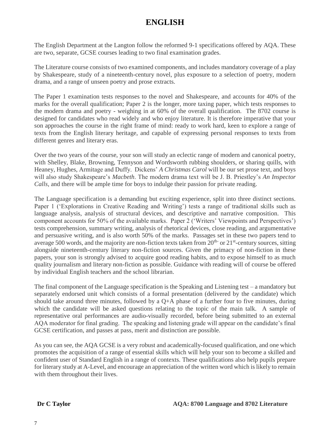# **ENGLISH**

The English Department at the Langton follow the reformed 9-1 specifications offered by AQA. These are two, separate, GCSE courses leading to two final examination grades.

The Literature course consists of two examined components, and includes mandatory coverage of a play by Shakespeare, study of a nineteenth-century novel, plus exposure to a selection of poetry, modern drama, and a range of unseen poetry and prose extracts.

The Paper 1 examination tests responses to the novel and Shakespeare, and accounts for 40% of the marks for the overall qualification; Paper 2 is the longer, more taxing paper, which tests responses to the modern drama and poetry - weighing in at 60% of the overall qualification. The 8702 course is designed for candidates who read widely and who enjoy literature. It is therefore imperative that your son approaches the course in the right frame of mind: ready to work hard, keen to explore a range of texts from the English literary heritage, and capable of expressing personal responses to texts from different genres and literary eras.

Over the two years of the course, your son will study an eclectic range of modern and canonical poetry, with Shelley, Blake, Browning, Tennyson and Wordsworth rubbing shoulders, or sharing quills, with Heaney, Hughes, Armitage and Duffy. Dickens' *A Christmas Carol* will be our set prose text, and boys will also study Shakespeare's *Macbeth*. The modern drama text will be J. B. Priestley's *An Inspector Calls*, and there will be ample time for boys to indulge their passion for private reading.

The Language specification is a demanding but exciting experience, split into three distinct sections. Paper 1 ('Explorations in Creative Reading and Writing') tests a range of traditional skills such as language analysis, analysis of structural devices, and descriptive and narrative composition. This component accounts for 50% of the available marks. Paper 2 ('Writers' Viewpoints and Perspectives') tests comprehension, summary writing, analysis of rhetorical devices, close reading, and argumentative and persuasive writing, and is also worth 50% of the marks. Passages set in these two papers tend to average 500 words, and the majority are non-fiction texts taken from  $20<sup>th</sup>$  or  $21<sup>st</sup>$ -century sources, sitting alongside nineteenth-century literary non-fiction sources. Given the primacy of non-fiction in these papers, your son is strongly advised to acquire good reading habits, and to expose himself to as much quality journalism and literary non-fiction as possible. Guidance with reading will of course be offered by individual English teachers and the school librarian.

The final component of the Language specification is the Speaking and Listening test – a mandatory but separately endorsed unit which consists of a formal presentation (delivered by the candidate) which should take around three minutes, followed by a Q+A phase of a further four to five minutes, during which the candidate will be asked questions relating to the topic of the main talk. A sample of representative oral performances are audio-visually recorded, before being submitted to an external AQA moderator for final grading. The speaking and listening grade will appear on the candidate's final GCSE certification, and passes at pass, merit and distinction are possible.

As you can see, the AQA GCSE is a very robust and academically-focused qualification, and one which promotes the acquisition of a range of essential skills which will help your son to become a skilled and confident user of Standard English in a range of contexts. These qualifications also help pupils prepare for literary study at A-Level, and encourage an appreciation of the written word which is likely to remain with them throughout their lives.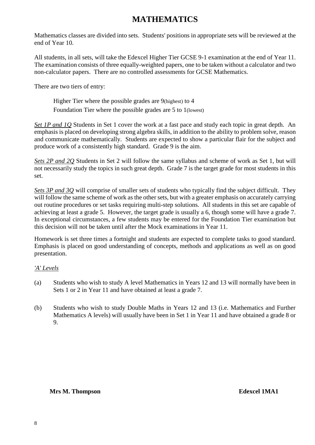# **MATHEMATICS**

Mathematics classes are divided into sets. Students' positions in appropriate sets will be reviewed at the end of Year 10.

All students, in all sets, will take the Edexcel Higher Tier GCSE 9-1 examination at the end of Year 11. The examination consists of three equally-weighted papers, one to be taken without a calculator and two non-calculator papers. There are no controlled assessments for GCSE Mathematics.

There are two tiers of entry:

Higher Tier where the possible grades are 9(highest) to 4 Foundation Tier where the possible grades are 5 to 1(lowest)

*Set 1P and 1Q* Students in Set 1 cover the work at a fast pace and study each topic in great depth. An emphasis is placed on developing strong algebra skills, in addition to the ability to problem solve, reason and communicate mathematically. Students are expected to show a particular flair for the subject and produce work of a consistently high standard. Grade 9 is the aim.

*Sets 2P and 2Q* Students in Set 2 will follow the same syllabus and scheme of work as Set 1, but will not necessarily study the topics in such great depth. Grade 7 is the target grade for most students in this set.

*Sets 3P and 3Q* will comprise of smaller sets of students who typically find the subject difficult. They will follow the same scheme of work as the other sets, but with a greater emphasis on accurately carrying out routine procedures or set tasks requiring multi-step solutions. All students in this set are capable of achieving at least a grade 5. However, the target grade is usually a 6, though some will have a grade 7. In exceptional circumstances, a few students may be entered for the Foundation Tier examination but this decision will not be taken until after the Mock examinations in Year 11.

Homework is set three times a fortnight and students are expected to complete tasks to good standard. Emphasis is placed on good understanding of concepts, methods and applications as well as on good presentation.

## *'A' Levels*

- (a) Students who wish to study A level Mathematics in Years 12 and 13 will normally have been in Sets 1 or 2 in Year 11 and have obtained at least a grade 7.
- (b) Students who wish to study Double Maths in Years 12 and 13 (i.e. Mathematics and Further Mathematics A levels) will usually have been in Set 1 in Year 11 and have obtained a grade 8 or 9.

#### **Mrs M. Thompson Edexcel 1MA1**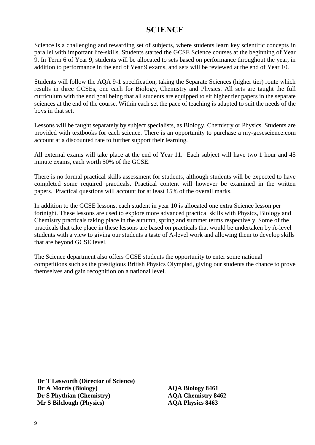# **SCIENCE**

Science is a challenging and rewarding set of subjects, where students learn key scientific concepts in parallel with important life-skills. Students started the GCSE Science courses at the beginning of Year 9. In Term 6 of Year 9, students will be allocated to sets based on performance throughout the year, in addition to performance in the end of Year 9 exams, and sets will be reviewed at the end of Year 10.

Students will follow the AQA 9-1 specification, taking the Separate Sciences (higher tier) route which results in three GCSEs, one each for Biology, Chemistry and Physics. All sets are taught the full curriculum with the end goal being that all students are equipped to sit higher tier papers in the separate sciences at the end of the course. Within each set the pace of teaching is adapted to suit the needs of the boys in that set.

Lessons will be taught separately by subject specialists, as Biology, Chemistry or Physics. Students are provided with textbooks for each science. There is an opportunity to purchase a my-gcsescience.com account at a discounted rate to further support their learning.

All external exams will take place at the end of Year 11. Each subject will have two 1 hour and 45 minute exams, each worth 50% of the GCSE.

There is no formal practical skills assessment for students, although students will be expected to have completed some required practicals. Practical content will however be examined in the written papers. Practical questions will account for at least 15% of the overall marks.

In addition to the GCSE lessons, each student in year 10 is allocated one extra Science lesson per fortnight. These lessons are used to explore more advanced practical skills with Physics, Biology and Chemistry practicals taking place in the autumn, spring and summer terms respectively. Some of the practicals that take place in these lessons are based on practicals that would be undertaken by A-level students with a view to giving our students a taste of A-level work and allowing them to develop skills that are beyond GCSE level.

The Science department also offers GCSE students the opportunity to enter some national competitions such as the prestigious British Physics Olympiad, giving our students the chance to prove themselves and gain recognition on a national level.

**Dr T Lesworth (Director of Science) Dr A Morris (Biology) AQA Biology 8461 Dr S Phythian (Chemistry) AQA Chemistry 8462 Mr S Bilclough (Physics) AQA Physics 8463**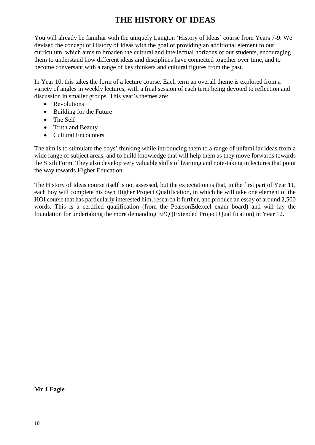# **THE HISTORY OF IDEAS**

You will already be familiar with the uniquely Langton 'History of Ideas' course from Years 7-9. We devised the concept of History of Ideas with the goal of providing an additional element to our curriculum, which aims to broaden the cultural and intellectual horizons of our students, encouraging them to understand how different ideas and disciplines have connected together over time, and to become conversant with a range of key thinkers and cultural figures from the past.

In Year 10, this takes the form of a lecture course. Each term an overall theme is explored from a variety of angles in weekly lectures, with a final session of each term being devoted to reflection and discussion in smaller groups. This year's themes are:

- Revolutions
- Building for the Future
- The Self
- Truth and Beauty
- Cultural Encounters

The aim is to stimulate the boys' thinking while introducing them to a range of unfamiliar ideas from a wide range of subject areas, and to build knowledge that will help them as they move forwards towards the Sixth Form. They also develop very valuable skills of learning and note-taking in lectures that point the way towards Higher Education.

The History of Ideas course itself is not assessed, but the expectation is that, in the first part of Year 11, each boy will complete his own Higher Project Qualification, in which he will take one element of the HOI course that has particularly interested him, research it further, and produce an essay of around 2,500 words. This is a certified qualification (from the PearsonEdexcel exam board) and will lay the foundation for undertaking the more demanding EPQ (Extended Project Qualification) in Year 12.

**Mr J Eagle**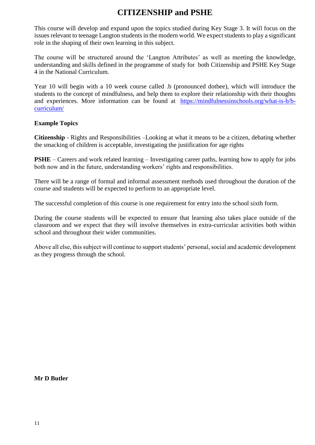# **CITIZENSHIP and PSHE**

This course will develop and expand upon the topics studied during Key Stage 3. It will focus on the issues relevant to teenage Langton students in the modern world. We expect students to play a significant role in the shaping of their own learning in this subject.

The course will be structured around the 'Langton Attributes' as well as meeting the knowledge, understanding and skills defined in the programme of study for both Citizenship and PSHE Key Stage 4 in the National Curriculum.

Year 10 will begin with a 10 week course called .b (pronounced dotbee), which will introduce the students to the concept of mindfulness, and help them to explore their relationship with their thoughts and experiences. More information can be found at [https://mindfulnessinschools.org/what-is-b/b](https://mindfulnessinschools.org/what-is-b/b-curriculum/)[curriculum/](https://mindfulnessinschools.org/what-is-b/b-curriculum/)

#### **Example Topics**

**Citizenship** - Rights and Responsibilities –Looking at what it means to be a citizen, debating whether the smacking of children is acceptable, investigating the justification for age rights

**PSHE** – Careers and work related learning – Investigating career paths, learning how to apply for jobs both now and in the future, understanding workers' rights and responsibilities.

There will be a range of formal and informal assessment methods used throughout the duration of the course and students will be expected to perform to an appropriate level.

The successful completion of this course is one requirement for entry into the school sixth form.

During the course students will be expected to ensure that learning also takes place outside of the classroom and we expect that they will involve themselves in extra-curricular activities both within school and throughout their wider communities.

Above all else, this subject will continue to support students' personal, social and academic development as they progress through the school.

## **Mr D Butler**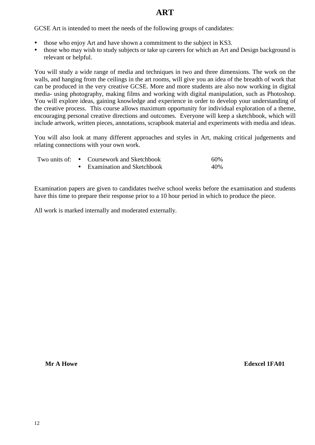# **ART**

GCSE Art is intended to meet the needs of the following groups of candidates:

- those who enjoy Art and have shown a commitment to the subject in KS3.
- those who may wish to study subjects or take up careers for which an Art and Design background is relevant or helpful.

You will study a wide range of media and techniques in two and three dimensions. The work on the walls, and hanging from the ceilings in the art rooms, will give you an idea of the breadth of work that can be produced in the very creative GCSE. More and more students are also now working in digital media- using photography, making films and working with digital manipulation, such as Photoshop. You will explore ideas, gaining knowledge and experience in order to develop your understanding of the creative process. This course allows maximum opportunity for individual exploration of a theme, encouraging personal creative directions and outcomes. Everyone will keep a sketchbook, which will include artwork, written pieces, annotations, scrapbook material and experiments with media and ideas.

You will also look at many different approaches and styles in Art, making critical judgements and relating connections with your own work.

|  | Two units of: • Coursework and Sketchbook | 60% |
|--|-------------------------------------------|-----|
|  | • Examination and Sketchbook              | 40% |

Examination papers are given to candidates twelve school weeks before the examination and students have this time to prepare their response prior to a 10 hour period in which to produce the piece.

All work is marked internally and moderated externally.

**Mr A Howe Edexcel 1FA01**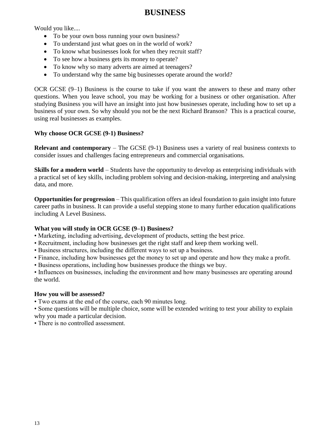# **BUSINESS**

Would you like....

- To be your own boss running your own business?
- To understand just what goes on in the world of work?
- To know what businesses look for when they recruit staff?
- To see how a business gets its money to operate?
- To know why so many adverts are aimed at teenagers?
- To understand why the same big businesses operate around the world?

OCR GCSE (9–1) Business is the course to take if you want the answers to these and many other questions. When you leave school, you may be working for a business or other organisation. After studying Business you will have an insight into just how businesses operate, including how to set up a business of your own. So why should you not be the next Richard Branson? This is a practical course, using real businesses as examples.

# **Why choose OCR GCSE (9-1) Business?**

**Relevant and contemporary** – The GCSE (9-1) Business uses a variety of real business contexts to consider issues and challenges facing entrepreneurs and commercial organisations.

**Skills for a modern world** – Students have the opportunity to develop as enterprising individuals with a practical set of key skills, including problem solving and decision-making, interpreting and analysing data, and more.

**Opportunities for progression** – This qualification offers an ideal foundation to gain insight into future career paths in business. It can provide a useful stepping stone to many further education qualifications including A Level Business.

# **What you will study in OCR GCSE (9–1) Business?**

- Marketing, including advertising, development of products, setting the best price.
- Recruitment, including how businesses get the right staff and keep them working well.
- Business structures, including the different ways to set up a business.
- Finance, including how businesses get the money to set up and operate and how they make a profit.
- Business operations, including how businesses produce the things we buy.

• Influences on businesses, including the environment and how many businesses are operating around the world.

## **How you will be assessed?**

• Two exams at the end of the course, each 90 minutes long.

• Some questions will be multiple choice, some will be extended writing to test your ability to explain why you made a particular decision.

• There is no controlled assessment.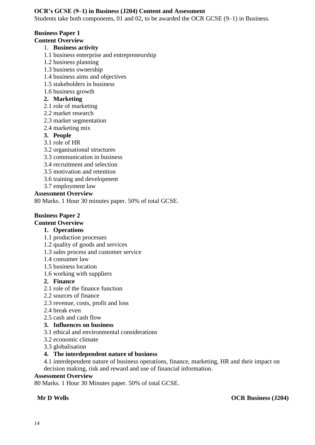## **OCR's GCSE (9–1) in Business (J204) Content and Assessment**

Students take both components, 01 and 02, to be awarded the OCR GCSE (9–1) in Business.

# **Business Paper 1**

# **Content Overview**

## 1. **Business activity**

- 1.1 business enterprise and entrepreneurship
- 1.2 business planning
- 1.3 business ownership
- 1.4 business aims and objectives
- 1.5 stakeholders in business
- 1.6 business growth

## **2. Marketing**

- 2.1 role of marketing
- 2.2 market research
- 2.3 market segmentation
- 2.4 marketing mix

# **3. People**

- 3.1 role of HR
- 3.2 organisational structures
- 3.3 communication in business
- 3.4 recruitment and selection
- 3.5 motivation and retention
- 3.6 training and development
- 3.7 employment law

## **Assessment Overview**

80 Marks. 1 Hour 30 minutes paper. 50% of total GCSE.

## **Business Paper 2**

# **Content Overview**

# **1. Operations**

- 1.1 production processes
- 1.2 quality of goods and services
- 1.3 sales process and customer service
- 1.4 consumer law
- 1.5 business location
- 1.6 working with suppliers

# **2. Finance**

- 2.1 role of the finance function
- 2.2 sources of finance
- 2.3 revenue, costs, profit and loss
- 2.4 break even
- 2.5 cash and cash flow

# **3. Influences on business**

- 3.1 ethical and environmental considerations
- 3.2 economic climate
- 3.3 globalisation

# **4. The interdependent nature of business**

4.1 interdependent nature of business operations, finance, marketing, HR and their impact on decision making, risk and reward and use of financial information.

## **Assessment Overview**

80 Marks. 1 Hour 30 Minutes paper. 50% of total GCSE.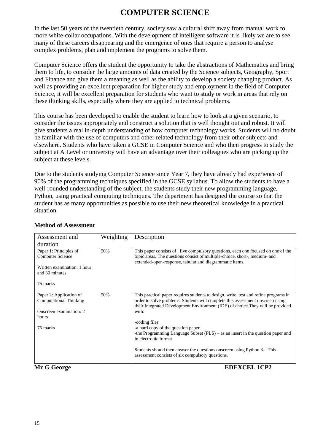# **COMPUTER SCIENCE**

In the last 50 years of the twentieth century, society saw a cultural shift away from manual work to more white-collar occupations. With the development of intelligent software it is likely we are to see many of these careers disappearing and the emergence of ones that require a person to analyse complex problems, plan and implement the programs to solve them.

Computer Science offers the student the opportunity to take the abstractions of Mathematics and bring them to life, to consider the large amounts of data created by the Science subjects, Geography, Sport and Finance and give them a meaning as well as the ability to develop a society changing product. As well as providing an excellent preparation for higher study and employment in the field of Computer Science, it will be excellent preparation for students who want to study or work in areas that rely on these thinking skills, especially where they are applied to technical problems.

This course has been developed to enable the student to learn how to look at a given scenario, to consider the issues appropriately and construct a solution that is well thought out and robust. It will give students a real in-depth understanding of how computer technology works. Students will no doubt be familiar with the use of computers and other related technology from their other subjects and elsewhere. Students who have taken a GCSE in Computer Science and who then progress to study the subject at A Level or university will have an advantage over their colleagues who are picking up the subject at these levels.

Due to the students studying Computer Science since Year 7, they have already had experience of 90% of the programming techniques specified in the GCSE syllabus. To allow the students to have a well-rounded understanding of the subject, the students study their new programming language, Python, using practical computing techniques. The department has designed the course so that the student has as many opportunities as possible to use their new theoretical knowledge in a practical situation.

| Assessment and                                    | Weighting | Description                                                                                                                                                       |
|---------------------------------------------------|-----------|-------------------------------------------------------------------------------------------------------------------------------------------------------------------|
| duration                                          |           |                                                                                                                                                                   |
| Paper 1: Principles of<br><b>Computer Science</b> | 50%       | This paper consists of five compulsory questions, each one focused on one of the<br>topic areas. The questions consist of multiple-choice, short-, medium- and    |
|                                                   |           | extended-open-response, tabular and diagrammatic items.                                                                                                           |
| Written examination: 1 hour                       |           |                                                                                                                                                                   |
| and 30 minutes                                    |           |                                                                                                                                                                   |
| 75 marks                                          |           |                                                                                                                                                                   |
|                                                   |           |                                                                                                                                                                   |
| Paper 2: Application of                           | 50%       | This practical paper requires students to design, write, test and refine programs in                                                                              |
| Computational Thinking                            |           | order to solve problems. Students will complete this assessment onscreen using<br>their Integrated Development Environment (IDE) of choice. They will be provided |
| Onscreen examination: 2                           |           | with:                                                                                                                                                             |
| hours                                             |           | -coding files                                                                                                                                                     |
| 75 marks                                          |           | -a hard copy of the question paper                                                                                                                                |
|                                                   |           | -the Programming Language Subset $(PLS)$ – as an insert in the question paper and                                                                                 |
|                                                   |           | in electronic format.                                                                                                                                             |
|                                                   |           | Students should then answer the questions onscreen using Python 3. This                                                                                           |
|                                                   |           | assessment consists of six compulsory questions.                                                                                                                  |
|                                                   |           |                                                                                                                                                                   |

## **Method of Assessment**

**Mr G George EDEXCEL 1CP2**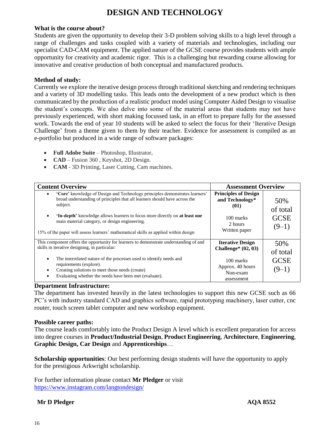# **DESIGN AND TECHNOLOGY**

#### **What is the course about?**

Students are given the opportunity to develop their 3-D problem solving skills to a high level through a range of challenges and tasks coupled with a variety of materials and technologies, including our specialist CAD-CAM equipment. The applied nature of the GCSE course provides students with ample opportunity for creativity and academic rigor. This is a challenging but rewarding course allowing for innovative and creative production of both conceptual and manufactured products.

#### **Method of study:**

Currently we explore the iterative design process through traditional sketching and rendering techniques and a variety of 3D modelling tasks. This leads onto the development of a new product which is then communicated by the production of a realistic product model using Computer Aided Design to visualise the student's concepts. We also delve into some of the material areas that students may not have previously experienced, with short making focussed task, in an effort to prepare fully for the assessed work. Towards the end of year 10 students will be asked to select the focus for their 'Iterative Design Challenge' from a theme given to them by their teacher. Evidence for assessment is compiled as an e-portfolio but produced in a wide range of software packages:

- **Full Adobe Suite**  Photoshop, Illustrator,
- **CAD** Fusion 360, Keyshot, 2D Design.
- **CAM** 3D Printing, Laser Cutting, Cam machines.

| <b>Content Overview</b>                                                                                                                                                                                                                                                                                                                                                                              | <b>Assessment Overview</b>                                                                      |                                           |
|------------------------------------------------------------------------------------------------------------------------------------------------------------------------------------------------------------------------------------------------------------------------------------------------------------------------------------------------------------------------------------------------------|-------------------------------------------------------------------------------------------------|-------------------------------------------|
| 'Core' knowledge of Design and Technology principles demonstrates learners'<br>broad understanding of principles that all learners should have across the<br>subject.<br><b>'In-depth'</b> knowledge allows learners to focus more directly on at least one<br>main material category, or design engineering.<br>15% of the paper will assess learners' mathematical skills as applied within design | <b>Principles of Design</b><br>and Technology*<br>(01)<br>100 marks<br>2 hours<br>Written paper | 50%<br>of total<br><b>GCSE</b><br>$(9-1)$ |
| This component offers the opportunity for learners to demonstrate understanding of and<br>skills in iterative designing, in particular:                                                                                                                                                                                                                                                              | <b>Iterative Design</b><br>Challenge* $(02, 03)$                                                | 50%<br>of total                           |
| The interrelated nature of the processes used to identify needs and<br>٠<br>requirements (explore).<br>Creating solutions to meet those needs (create)<br>Evaluating whether the needs have been met (evaluate).                                                                                                                                                                                     | 100 marks<br>Approx. 40 hours<br>Non-exam<br>assessment                                         | <b>GCSE</b><br>$(9-1)$                    |

## **Department Infrastructure:**

The department has invested heavily in the latest technologies to support this new GCSE such as 66 PC's with industry standard CAD and graphics software, rapid prototyping machinery, laser cutter, cnc router, touch screen tablet computer and new workshop equipment.

#### **Possible career paths:**

The course leads comfortably into the Product Design A level which is excellent preparation for access into degree courses in **Product/Industrial Design**, **Product Engineering**, **Architecture**, **Engineering**, **Graphic Design, Car Design** and **Apprenticeships**…

**Scholarship opportunities**: Our best performing design students will have the opportunity to apply for the prestigious Arkwright scholarship.

For further information please contact **Mr Pledger** or visit <https://www.instagram.com/langtondesign/>

## **Mr D Pledger AQA 8552**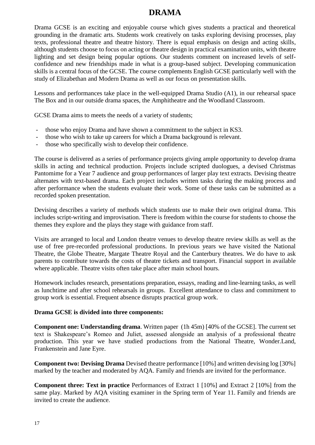# **DRAMA**

Drama GCSE is an exciting and enjoyable course which gives students a practical and theoretical grounding in the dramatic arts. Students work creatively on tasks exploring devising processes, play texts, professional theatre and theatre history. There is equal emphasis on design and acting skills, although students choose to focus on acting or theatre design in practical examination units, with theatre lighting and set design being popular options. Our students comment on increased levels of selfconfidence and new friendships made in what is a group-based subject. Developing communication skills is a central focus of the GCSE. The course complements English GCSE particularly well with the study of Elizabethan and Modern Drama as well as our focus on presentation skills.

Lessons and performances take place in the well-equipped Drama Studio (A1), in our rehearsal space The Box and in our outside drama spaces, the Amphitheatre and the Woodland Classroom.

GCSE Drama aims to meets the needs of a variety of students;

- those who enjoy Drama and have shown a commitment to the subject in KS3.
- those who wish to take up careers for which a Drama background is relevant.
- those who specifically wish to develop their confidence.

The course is delivered as a series of performance projects giving ample opportunity to develop drama skills in acting and technical production. Projects include scripted duologues, a devised Christmas Pantomime for a Year 7 audience and group performances of larger play text extracts. Devising theatre alternates with text-based drama. Each project includes written tasks during the making process and after performance when the students evaluate their work. Some of these tasks can be submitted as a recorded spoken presentation.

Devising describes a variety of methods which students use to make their own original drama. This includes script-writing and improvisation. There is freedom within the course for students to choose the themes they explore and the plays they stage with guidance from staff.

Visits are arranged to local and London theatre venues to develop theatre review skills as well as the use of free pre-recorded professional productions. In previous years we have visited the National Theatre, the Globe Theatre, Margate Theatre Royal and the Canterbury theatres. We do have to ask parents to contribute towards the costs of theatre tickets and transport. Financial support in available where applicable. Theatre visits often take place after main school hours.

Homework includes research, presentations preparation, essays, reading and line-learning tasks, as well as lunchtime and after school rehearsals in groups. Excellent attendance to class and commitment to group work is essential. Frequent absence disrupts practical group work.

#### **Drama GCSE is divided into three components:**

**Component one: Understanding drama**. Written paper (1h 45m) [40% of the GCSE]. The current set text is Shakespeare's Romeo and Juliet, assessed alongside an analysis of a professional theatre production. This year we have studied productions from the National Theatre, Wonder.Land, Frankenstein and Jane Eyre.

**Component two: Devising Drama** Devised theatre performance [10%] and written devising log [30%] marked by the teacher and moderated by AQA. Family and friends are invited for the performance.

**Component three: Text in practice** Performances of Extract 1 [10%] and Extract 2 [10%] from the same play. Marked by AQA visiting examiner in the Spring term of Year 11. Family and friends are invited to create the audience.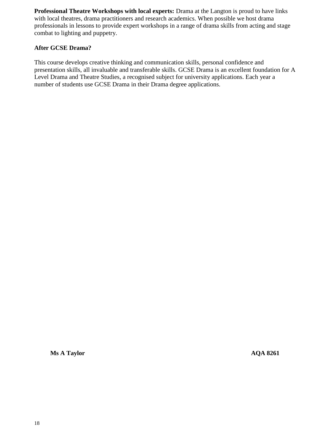**Professional Theatre Workshops with local experts:** Drama at the Langton is proud to have links with local theatres, drama practitioners and research academics. When possible we host drama professionals in lessons to provide expert workshops in a range of drama skills from acting and stage combat to lighting and puppetry.

#### **After GCSE Drama?**

This course develops creative thinking and communication skills, personal confidence and presentation skills, all invaluable and transferable skills. GCSE Drama is an excellent foundation for A Level Drama and Theatre Studies, a recognised subject for university applications. Each year a number of students use GCSE Drama in their Drama degree applications.

**Ms A Taylor** AQA 8261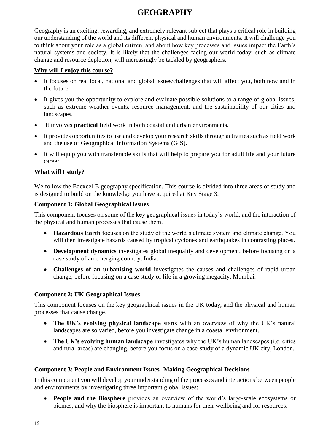# **GEOGRAPHY**

Geography is an exciting, rewarding, and extremely relevant subject that plays a critical role in building our understanding of the world and its different physical and human environments. It will challenge you to think about your role as a global citizen, and about how key processes and issues impact the Earth's natural systems and society. It is likely that the challenges facing our world today, such as climate change and resource depletion, will increasingly be tackled by geographers.

## **Why will I enjoy this course?**

- It focuses on real local, national and global issues/challenges that will affect you, both now and in the future.
- It gives you the opportunity to explore and evaluate possible solutions to a range of global issues, such as extreme weather events, resource management, and the sustainability of our cities and landscapes.
- It involves **practical** field work in both coastal and urban environments.
- It provides opportunities to use and develop your research skills through activities such as field work and the use of Geographical Information Systems (GIS).
- It will equip you with transferable skills that will help to prepare you for adult life and your future career.

# **What will I study?**

We follow the Edexcel B geography specification. This course is divided into three areas of study and is designed to build on the knowledge you have acquired at Key Stage 3.

## **Component 1: Global Geographical Issues**

This component focuses on some of the key geographical issues in today's world, and the interaction of the physical and human processes that cause them.

- **Hazardous Earth** focuses on the study of the world's climate system and climate change. You will then investigate hazards caused by tropical cyclones and earthquakes in contrasting places.
- **Development dynamics** investigates global inequality and development, before focusing on a case study of an emerging country, India.
- **Challenges of an urbanising world** investigates the causes and challenges of rapid urban change, before focusing on a case study of life in a growing megacity, Mumbai.

# **Component 2: UK Geographical Issues**

This component focuses on the key geographical issues in the UK today, and the physical and human processes that cause change.

- **The UK's evolving physical landscape** starts with an overview of why the UK's natural landscapes are so varied, before you investigate change in a coastal environment.
- **The UK's evolving human landscape** investigates why the UK's human landscapes (i.e. cities and rural areas) are changing, before you focus on a case-study of a dynamic UK city, London.

# **Component 3: People and Environment Issues- Making Geographical Decisions**

In this component you will develop your understanding of the processes and interactions between people and environments by investigating three important global issues:

 **People and the Biosphere** provides an overview of the world's large-scale ecosystems or biomes, and why the biosphere is important to humans for their wellbeing and for resources.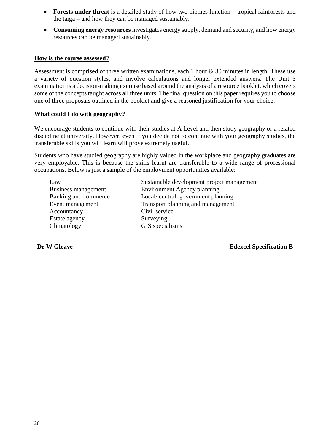- **Forests under threat** is a detailed study of how two biomes function tropical rainforests and the taiga – and how they can be managed sustainably.
- **Consuming energy resources** investigates energy supply, demand and security, and how energy resources can be managed sustainably.

#### **How is the course assessed?**

Assessment is comprised of three written examinations, each 1 hour & 30 minutes in length. These use a variety of question styles, and involve calculations and longer extended answers. The Unit 3 examination is a decision-making exercise based around the analysis of a resource booklet, which covers some of the concepts taught across all three units. The final question on this paper requires you to choose one of three proposals outlined in the booklet and give a reasoned justification for your choice.

#### **What could I do with geography?**

We encourage students to continue with their studies at A Level and then study geography or a related discipline at university. However, even if you decide not to continue with your geography studies, the transferable skills you will learn will prove extremely useful.

Students who have studied geography are highly valued in the workplace and geography graduates are very employable. This is because the skills learnt are transferable to a wide range of professional occupations. Below is just a sample of the employment opportunities available:

Accountancy Civil service Estate agency Surveying Climatology GIS specialisms

Law Sustainable development project management Business management Environment Agency planning Banking and commerce Local/ central government planning Event management Transport planning and management

**Dr W Gleave Edexcel Specification B**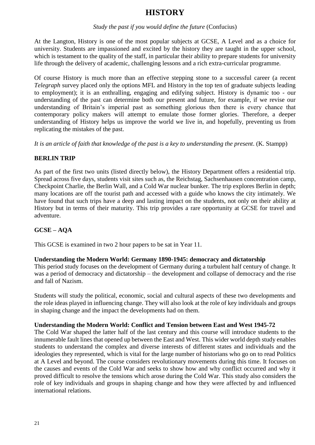# **HISTORY**

#### *Study the past if you would define the future* (Confucius)

At the Langton, History is one of the most popular subjects at GCSE, A Level and as a choice for university. Students are impassioned and excited by the history they are taught in the upper school, which is testament to the quality of the staff, in particular their ability to prepare students for university life through the delivery of academic, challenging lessons and a rich extra-curricular programme.

Of course History is much more than an effective stepping stone to a successful career (a recent *Telegraph* survey placed only the options MFL and History in the top ten of graduate subjects leading to employment); it is an enthralling, engaging and edifying subject. History is dynamic too - our understanding of the past can determine both our present and future, for example, if we revise our understanding of Britain's imperial past as something glorious then there is every chance that contemporary policy makers will attempt to emulate those former glories. Therefore, a deeper understanding of History helps us improve the world we live in, and hopefully, preventing us from replicating the mistakes of the past.

*It is an article of faith that knowledge of the past is a key to understanding the present*. (K. Stampp)

## **BERLIN TRIP**

As part of the first two units (listed directly below), the History Department offers a residential trip. Spread across five days, students visit sites such as, the Reichstag, Sachsenhausen concentration camp, Checkpoint Charlie, the Berlin Wall, and a Cold War nuclear bunker. The trip explores Berlin in depth; many locations are off the tourist path and accessed with a guide who knows the city intimately. We have found that such trips have a deep and lasting impact on the students, not only on their ability at History but in terms of their maturity. This trip provides a rare opportunity at GCSE for travel and adventure.

# **GCSE – AQA**

This GCSE is examined in two 2 hour papers to be sat in Year 11.

#### **Understanding the Modern World: Germany 1890-1945: democracy and dictatorship**

This period study focuses on the development of Germany during a turbulent half century of change. It was a period of democracy and dictatorship – the development and collapse of democracy and the rise and fall of Nazism.

Students will study the political, economic, social and cultural aspects of these two developments and the role ideas played in influencing change. They will also look at the role of key individuals and groups in shaping change and the impact the developments had on them.

#### **Understanding the Modern World: Conflict and Tension between East and West 1945-72**

The Cold War shaped the latter half of the last century and this course will introduce students to the innumerable fault lines that opened up between the East and West. This wider world depth study enables students to understand the complex and diverse interests of different states and individuals and the ideologies they represented, which is vital for the large number of historians who go on to read Politics at A Level and beyond. The course considers revolutionary movements during this time. It focuses on the causes and events of the Cold War and seeks to show how and why conflict occurred and why it proved difficult to resolve the tensions which arose during the Cold War. This study also considers the role of key individuals and groups in shaping change and how they were affected by and influenced international relations.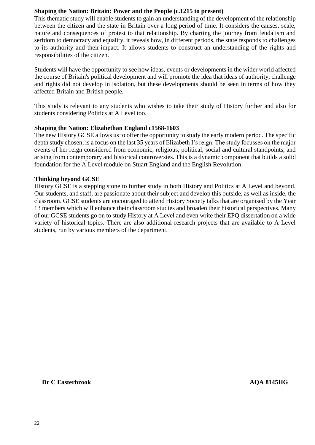### **Shaping the Nation: Britain: Power and the People (c.1215 to present)**

This thematic study will enable students to gain an understanding of the development of the relationship between the citizen and the state in Britain over a long period of time. It considers the causes, scale, nature and consequences of protest to that relationship. By charting the journey from feudalism and serfdom to democracy and equality, it reveals how, in different periods, the state responds to challenges to its authority and their impact. It allows students to construct an understanding of the rights and responsibilities of the citizen.

Students will have the opportunity to see how ideas, events or developments in the wider world affected the course of Britain's political development and will promote the idea that ideas of authority, challenge and rights did not develop in isolation, but these developments should be seen in terms of how they affected Britain and British people.

This study is relevant to any students who wishes to take their study of History further and also for students considering Politics at A Level too.

#### **Shaping the Nation: Elizabethan England c1568-1603**

The new History GCSE allows us to offer the opportunity to study the early modern period. The specific depth study chosen, is a focus on the last 35 years of Elizabeth I's reign. The study focusses on the major events of her reign considered from economic, religious, political, social and cultural standpoints, and arising from contemporary and historical controversies. This is a dynamic component that builds a solid foundation for the A Level module on Stuart England and the English Revolution.

#### **Thinking beyond GCSE**

History GCSE is a stepping stone to further study in both History and Politics at A Level and beyond. Our students, and staff, are passionate about their subject and develop this outside, as well as inside, the classroom. GCSE students are encouraged to attend History Society talks that are organised by the Year 13 members which will enhance their classroom studies and broaden their historical perspectives. Many of our GCSE students go on to study History at A Level and even write their EPQ dissertation on a wide variety of historical topics. There are also additional research projects that are available to A Level students, run by various members of the department.

#### **Dr C Easterbrook AQA 8145HG**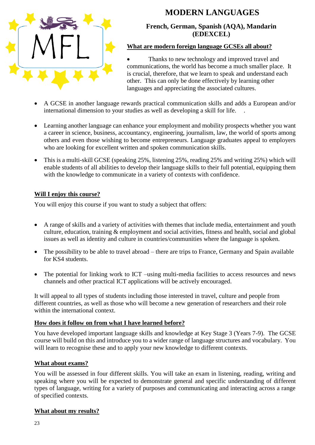

# **MODERN LANGUAGES**

**French, German, Spanish (AQA), Mandarin (EDEXCEL)**

## **What are modern foreign language GCSEs all about?**

 Thanks to new technology and improved travel and communications, the world has become a much smaller place. It is crucial, therefore, that we learn to speak and understand each other. This can only be done effectively by learning other languages and appreciating the associated cultures.

- A GCSE in another language rewards practical communication skills and adds a European and/or international dimension to your studies as well as developing a skill for life. .
- Learning another language can enhance your employment and mobility prospects whether you want a career in science, business, accountancy, engineering, journalism, law, the world of sports among others and even those wishing to become entrepreneurs. Language graduates appeal to employers who are looking for excellent written and spoken communication skills.
- This is a multi-skill GCSE (speaking 25%, listening 25%, reading 25% and writing 25%) which will enable students of all abilities to develop their language skills to their full potential, equipping them with the knowledge to communicate in a variety of contexts with confidence.

# **Will I enjoy this course?**

You will enjoy this course if you want to study a subject that offers:

- A range of skills and a variety of activities with themes that include media, entertainment and youth culture, education, training & employment and social activities, fitness and health, social and global issues as well as identity and culture in countries/communities where the language is spoken.
- The possibility to be able to travel abroad there are trips to France, Germany and Spain available for KS4 students.
- The potential for linking work to ICT –using multi-media facilities to access resources and news channels and other practical ICT applications will be actively encouraged.

It will appeal to all types of students including those interested in travel, culture and people from different countries, as well as those who will become a new generation of researchers and their role within the international context.

# **How does it follow on from what I have learned before?**

You have developed important language skills and knowledge at Key Stage 3 (Years 7-9). The GCSE course will build on this and introduce you to a wider range of language structures and vocabulary. You will learn to recognise these and to apply your new knowledge to different contexts.

# **What about exams?**

You will be assessed in four different skills. You will take an exam in listening, reading, writing and speaking where you will be expected to demonstrate general and specific understanding of different types of language, writing for a variety of purposes and communicating and interacting across a range of specified contexts.

# **What about my results?**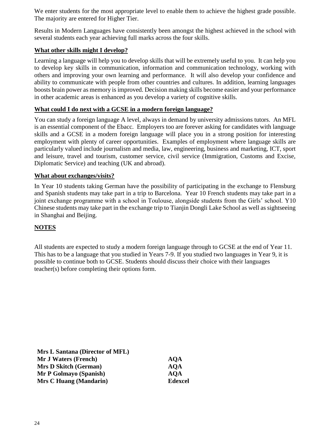We enter students for the most appropriate level to enable them to achieve the highest grade possible. The majority are entered for Higher Tier.

Results in Modern Languages have consistently been amongst the highest achieved in the school with several students each year achieving full marks across the four skills.

## **What other skills might I develop?**

Learning a language will help you to develop skills that will be extremely useful to you. It can help you to develop key skills in communication, information and communication technology, working with others and improving your own learning and performance. It will also develop your confidence and ability to communicate with people from other countries and cultures. In addition, learning languages boosts brain power as memory is improved. Decision making skills become easier and your performance in other academic areas is enhanced as you develop a variety of cognitive skills.

## **What could I do next with a GCSE in a modern foreign language?**

You can study a foreign language A level, always in demand by university admissions tutors. An MFL is an essential component of the Ebacc. Employers too are forever asking for candidates with language skills and a GCSE in a modern foreign language will place you in a strong position for interesting employment with plenty of career opportunities. Examples of employment where language skills are particularly valued include journalism and media, law, engineering, business and marketing, ICT, sport and leisure, travel and tourism, customer service, civil service (Immigration, Customs and Excise, Diplomatic Service) and teaching (UK and abroad).

## **What about exchanges/visits?**

In Year 10 students taking German have the possibility of participating in the exchange to Flensburg and Spanish students may take part in a trip to Barcelona. Year 10 French students may take part in a joint exchange programme with a school in Toulouse, alongside students from the Girls' school. Y10 Chinese students may take part in the exchange trip to Tianjin Dongli Lake School as well as sightseeing in Shanghai and Beijing.

# **NOTES**

All students are expected to study a modern foreign language through to GCSE at the end of Year 11. This has to be a language that you studied in Years 7-9. If you studied two languages in Year 9, it is possible to continue both to GCSE. Students should discuss their choice with their languages teacher(s) before completing their options form.

| Mrs L Santana (Director of MFL) |            |
|---------------------------------|------------|
| <b>Mr J Waters (French)</b>     | <b>AOA</b> |
| <b>Mrs D Skitch (German)</b>    | <b>AOA</b> |
| Mr P Golmayo (Spanish)          | <b>AOA</b> |
| Mrs C Huang (Mandarin)          | Edex       |

 $E$ **dexcel**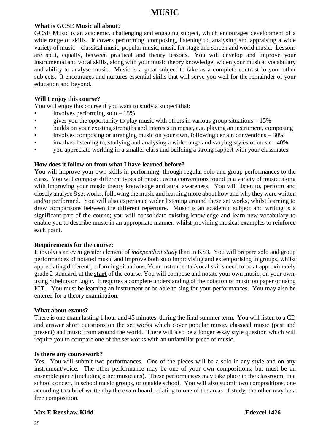# **MUSIC**

### **What is GCSE Music all about?**

GCSE Music is an academic, challenging and engaging subject, which encourages development of a wide range of skills. It covers performing, composing, listening to, analysing and appraising a wide variety of music – classical music, popular music, music for stage and screen and world music. Lessons are split, equally, between practical and theory lessons. You will develop and improve your instrumental and vocal skills, along with your music theory knowledge, widen your musical vocabulary and ability to analyse music. Music is a great subject to take as a complete contrast to your other subjects. It encourages and nurtures essential skills that will serve you well for the remainder of your education and beyond.

#### **Will I enjoy this course?**

You will enjoy this course if you want to study a subject that:

- involves performing solo  $-15%$
- gives you the opportunity to play music with others in various group situations  $-15\%$
- builds on your existing strengths and interests in music, e.g. playing an instrument, composing
- involves composing or arranging music on your own, following certain conventions 30%
- involves listening to, studying and analysing a wide range and varying styles of music– 40%
- you appreciate working in a smaller class and building a strong rapport with your classmates.

#### **How does it follow on from what I have learned before?**

You will improve your own skills in performing, through regular solo and group performances to the class. You will compose different types of music, using conventions found in a variety of music, along with improving your music theory knowledge and aural awareness. You will listen to, perform and closely analyse 8 set works, following the music and learning more about how and why they were written and/or performed. You will also experience wider listening around these set works, whilst learning to draw comparisons between the different repertoire. Music is an academic subject and writing is a significant part of the course; you will consolidate existing knowledge and learn new vocabulary to enable you to describe music in an appropriate manner, whilst providing musical examples to reinforce each point.

#### **Requirements for the course:**

It involves an even greater element of *independent study* than in KS3. You will prepare solo and group performances of notated music and improve both solo improvising and extemporising in groups, whilst appreciating different performing situations. Your instrumental/vocal skills need to be at approximately grade 2 standard, at the **start** of the course. You will compose and notate your own music, on your own, using Sibelius or Logic. It requires a complete understanding of the notation of music on paper or using ICT. You must be learning an instrument or be able to sing for your performances. You may also be entered for a theory examination.

#### **What about exams?**

There is one exam lasting 1 hour and 45 minutes, during the final summer term. You will listen to a CD and answer short questions on the set works which cover popular music, classical music (past and present) and music from around the world. There will also be a longer essay style question which will require you to compare one of the set works with an unfamiliar piece of music.

#### **Is there any coursework?**

Yes. You will submit two performances. One of the pieces will be a solo in any style and on any instrument/voice. The other performance may be one of your own compositions, but must be an ensemble piece (including other musicians). These performances may take place in the classroom, in a school concert, in school music groups, or outside school. You will also submit two compositions, one according to a brief written by the exam board, relating to one of the areas of study; the other may be a free composition.

#### **Mrs E Renshaw-Kidd Edexcel 1426**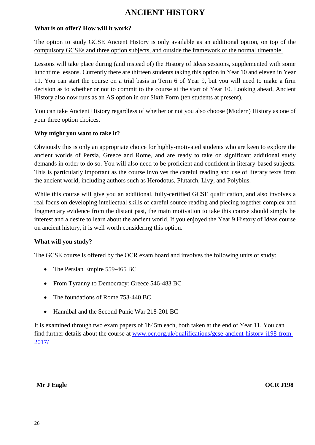# **ANCIENT HISTORY**

## **What is on offer? How will it work?**

The option to study GCSE Ancient History is only available as an additional option, on top of the compulsory GCSEs and three option subjects, and outside the framework of the normal timetable.

Lessons will take place during (and instead of) the History of Ideas sessions, supplemented with some lunchtime lessons. Currently there are thirteen students taking this option in Year 10 and eleven in Year 11. You can start the course on a trial basis in Term 6 of Year 9, but you will need to make a firm decision as to whether or not to commit to the course at the start of Year 10. Looking ahead, Ancient History also now runs as an AS option in our Sixth Form (ten students at present).

You can take Ancient History regardless of whether or not you also choose (Modern) History as one of your three option choices.

## **Why might you want to take it?**

Obviously this is only an appropriate choice for highly-motivated students who are keen to explore the ancient worlds of Persia, Greece and Rome, and are ready to take on significant additional study demands in order to do so. You will also need to be proficient and confident in literary-based subjects. This is particularly important as the course involves the careful reading and use of literary texts from the ancient world, including authors such as Herodotus, Plutarch, Livy, and Polybius.

While this course will give you an additional, fully-certified GCSE qualification, and also involves a real focus on developing intellectual skills of careful source reading and piecing together complex and fragmentary evidence from the distant past, the main motivation to take this course should simply be interest and a desire to learn about the ancient world. If you enjoyed the Year 9 History of Ideas course on ancient history, it is well worth considering this option.

# **What will you study?**

The GCSE course is offered by the OCR exam board and involves the following units of study:

- The Persian Empire 559-465 BC
- From Tyranny to Democracy: Greece 546-483 BC
- The foundations of Rome 753-440 BC
- Hannibal and the Second Punic War 218-201 BC

It is examined through two exam papers of 1h45m each, both taken at the end of Year 11. You can find further details about the course at [www.ocr.org.uk/qualifications/gcse-ancient-history-j198-from-](http://www.ocr.org.uk/qualifications/gcse-ancient-history-j198-from-2017/)[2017/](http://www.ocr.org.uk/qualifications/gcse-ancient-history-j198-from-2017/)

#### **Mr J Eagle OCR J198**